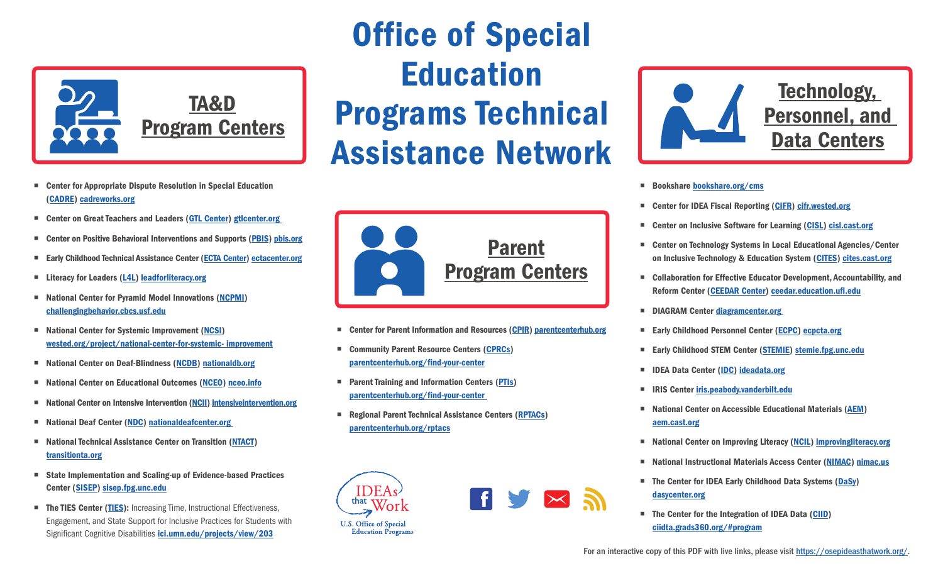

- Center for Appropriate Dispute Resolution in Special Education ([CADRE](http://cadreworks.org)) [cadreworks.org](http://cadreworks.org)
- Center on Great Teachers and Leaders ([GTL Center](https://gtlcenter.org)) gticenter.org
- Center on Positive Behavioral Interventions and Supports [\(PBIS](http://pbis.org)) pbis.org
- Early Childhood Technical Assistance Center [\(ECTA Center](http://ectacenter.org)) ectacenter.org
- Literacy for Leaders [\(L4L\)](https://leadforliteracy.org) [leadforliteracy.org](https://leadforliteracy.org)
- National Center for Pyramid Model Innovations ([NCPMI](http://challengingbehavior.cbcs.usf.edu)) [challengingbehavior.cbcs.usf.edu](http://challengingbehavior.cbcs.usf.edu)
- National Center for Systemic Improvement [\(NCSI](https://wested.org/project/national-center-for-systemic-%20improvement/)) [wested.org/project/national-center-for-systemic- improvement](https://wested.org/project/national-center-for-systemic-%20improvement/)
- National Center on Deaf-Blindness ([NCDB\)](http://nationaldb.org) [nationaldb.org](http://nationaldb.org)
- National Center on Educational Outcomes ([NCEO](http://nceo.info)) nceo.info
- National Center on Intensive Intervention [\(NCII](http://intensiveintervention.org)) intensive intervention.org
- National Deaf Center [\(NDC](https://www.nationaldeafcenter.org)) nationaldeafcenter.org
- National Technical Assistance Center on Transition [\(NTACT\)](http://transitionta.org) [transitionta.org](http://transitionta.org)
- State Implementation and Scaling-up of Evidence-based Practices Center [\(SISEP\)](http://sisep.fpg.unc.edu) [sisep.fpg.unc.edu](http://sisep.fpg.unc.edu)
- The TIES Center [\(TIES\)](http://ici.umn.edu/projects/view/203): Increasing Time, Instructional Effectiveness, Engagement, and State Support for Inclusive Practices for Students with Significant Cognitive Disabilities *[ici.umn.edu/projects/view/203](http://ici.umn.edu/projects/view/203)*

## Office of Special Education Programs Technical Assistance Network



- Center for Parent Information and Resources (CPIR) parentcenterhub.org
- Community Parent Resource Centers ([CPRCs](http://parentcenterhub.org/find-your-center)) [parentcenterhub.org/find-your-center](http://parentcenterhub.org/find-your-center)
- **Parent Training and Information Centers ([PTIs\)](https://www.parentcenterhub.org/find-your-center/)** [parentcenterhub.org/find-your-center](https://www.parentcenterhub.org/find-your-center/)
- Regional Parent Technical Assistance Centers ([RPTACs](https://www.parentcenterhub.org/rptacs/)) [parentcenterhub.org/rptacs](https://www.parentcenterhub.org/rptacs/)







- Bookshare [bookshare.org/cms](http://bookshare.org/cms)
- Center for IDEA Fiscal Reporting [\(CIFR](http://cifr.wested.org)) cifr.wested.org
- Center on Inclusive Software for Learning [\(CISL](http://cisl.cast.org)) cisl.cast.org
- Center on Technology Systems in Local Educational Agencies/Center on Inclusive Technology & Education System ([CITES\)](http://cites.cast.org) [cites.cast.org](http://cites.cast.org)
- Collaboration for Effective Educator Development, Accountability, and Reform Center [\(CEEDAR Center](http://ceedar.education.ufl.edu)) [ceedar.education.ufl.edu](http://ceedar.education.ufl.edu)
- DIAGRAM Center diagramcenter.org
- Early Childhood Personnel Center ([ECPC\)](http://ecpcta.org) [ecpcta.org](http://ecpcta.org)
- Early Childhood STEM Center [\(STEMIE](http://stemie.fpg.unc.edu)) stemie.fpg.unc.edu
- IDEA Data Center ([IDC](http://ideadata.org)) [ideadata.org](http://ideadata.org)
- **IRIS Center [iris.peabody.vanderbilt.edu](http://iris.peabody.vanderbilt.edu)**
- National Center on Accessible Educational Materials [\(AEM](http://aem.cast.org)) [aem.cast.org](http://aem.cast.org)
- National Center on Improving Literacy [\(NCIL](http://improvingliteracy.org)) improvingliteracy.org
- National Instructional Materials Access Center ([NIMAC\)](https://www.nimac.us/) [nimac.us](https://www.nimac.us/)
- The Center for IDEA Early Childhood Data Systems ([DaSy](http://dasycenter.org)) [dasycenter.org](http://dasycenter.org)
- The Center for the Integration of IDEA Data ([CIID](http://ciidta.grads360.org/#program)) [ciidta.grads360.org/#program](http://ciidta.grads360.org/#program)